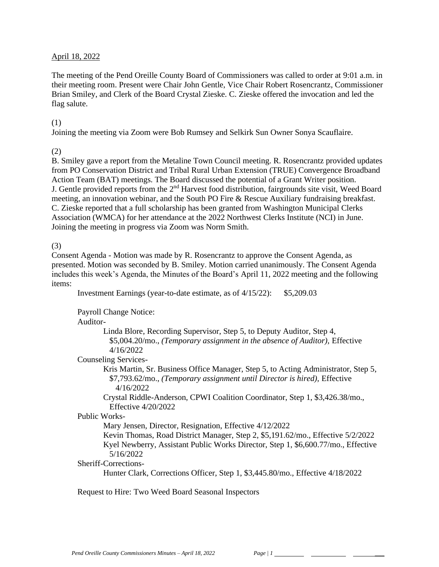## April 18, 2022

The meeting of the Pend Oreille County Board of Commissioners was called to order at 9:01 a.m. in their meeting room. Present were Chair John Gentle, Vice Chair Robert Rosencrantz, Commissioner Brian Smiley, and Clerk of the Board Crystal Zieske. C. Zieske offered the invocation and led the flag salute.

#### (1)

Joining the meeting via Zoom were Bob Rumsey and Selkirk Sun Owner Sonya Scauflaire.

## (2)

B. Smiley gave a report from the Metaline Town Council meeting. R. Rosencrantz provided updates from PO Conservation District and Tribal Rural Urban Extension (TRUE) Convergence Broadband Action Team (BAT) meetings. The Board discussed the potential of a Grant Writer position. J. Gentle provided reports from the 2<sup>nd</sup> Harvest food distribution, fairgrounds site visit, Weed Board meeting, an innovation webinar, and the South PO Fire & Rescue Auxiliary fundraising breakfast. C. Zieske reported that a full scholarship has been granted from Washington Municipal Clerks Association (WMCA) for her attendance at the 2022 Northwest Clerks Institute (NCI) in June. Joining the meeting in progress via Zoom was Norm Smith.

## (3)

Consent Agenda - Motion was made by R. Rosencrantz to approve the Consent Agenda, as presented. Motion was seconded by B. Smiley. Motion carried unanimously. The Consent Agenda includes this week's Agenda, the Minutes of the Board's April 11, 2022 meeting and the following items:

Investment Earnings (year-to-date estimate, as of 4/15/22): \$5,209.03

Payroll Change Notice:

Auditor-

Linda Blore, Recording Supervisor, Step 5, to Deputy Auditor, Step 4, \$5,004.20/mo., *(Temporary assignment in the absence of Auditor),* Effective 4/16/2022

Counseling Services-

Kris Martin, Sr. Business Office Manager, Step 5, to Acting Administrator, Step 5, \$7,793.62/mo., *(Temporary assignment until Director is hired),* Effective 4/16/2022

Crystal Riddle-Anderson, CPWI Coalition Coordinator, Step 1, \$3,426.38/mo., Effective 4/20/2022

Public Works-

Mary Jensen, Director, Resignation, Effective 4/12/2022

Kevin Thomas, Road District Manager, Step 2, \$5,191.62/mo., Effective 5/2/2022 Kyel Newberry, Assistant Public Works Director, Step 1, \$6,600.77/mo., Effective 5/16/2022

Sheriff-Corrections-

Hunter Clark, Corrections Officer, Step 1, \$3,445.80/mo., Effective 4/18/2022

Request to Hire: Two Weed Board Seasonal Inspectors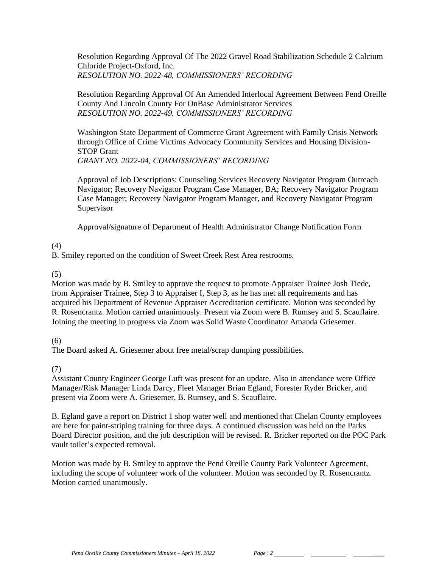Resolution Regarding Approval Of The 2022 Gravel Road Stabilization Schedule 2 Calcium Chloride Project-Oxford, Inc. *RESOLUTION NO. 2022-48, COMMISSIONERS' RECORDING* 

Resolution Regarding Approval Of An Amended Interlocal Agreement Between Pend Oreille County And Lincoln County For OnBase Administrator Services *RESOLUTION NO. 2022-49, COMMISSIONERS' RECORDING* 

Washington State Department of Commerce Grant Agreement with Family Crisis Network through Office of Crime Victims Advocacy Community Services and Housing Division-STOP Grant *GRANT NO. 2022-04, COMMISSIONERS' RECORDING* 

Approval of Job Descriptions: Counseling Services Recovery Navigator Program Outreach Navigator; Recovery Navigator Program Case Manager, BA; Recovery Navigator Program Case Manager; Recovery Navigator Program Manager, and Recovery Navigator Program Supervisor

Approval/signature of Department of Health Administrator Change Notification Form

(4)

B. Smiley reported on the condition of Sweet Creek Rest Area restrooms.

(5)

Motion was made by B. Smiley to approve the request to promote Appraiser Trainee Josh Tiede, from Appraiser Trainee, Step 3 to Appraiser I, Step 3, as he has met all requirements and has acquired his Department of Revenue Appraiser Accreditation certificate. Motion was seconded by R. Rosencrantz. Motion carried unanimously. Present via Zoom were B. Rumsey and S. Scauflaire. Joining the meeting in progress via Zoom was Solid Waste Coordinator Amanda Griesemer.

(6)

The Board asked A. Griesemer about free metal/scrap dumping possibilities.

(7)

Assistant County Engineer George Luft was present for an update. Also in attendance were Office Manager/Risk Manager Linda Darcy, Fleet Manager Brian Egland, Forester Ryder Bricker, and present via Zoom were A. Griesemer, B. Rumsey, and S. Scauflaire.

B. Egland gave a report on District 1 shop water well and mentioned that Chelan County employees are here for paint-striping training for three days. A continued discussion was held on the Parks Board Director position, and the job description will be revised. R. Bricker reported on the POC Park vault toilet's expected removal.

Motion was made by B. Smiley to approve the Pend Oreille County Park Volunteer Agreement, including the scope of volunteer work of the volunteer. Motion was seconded by R. Rosencrantz. Motion carried unanimously.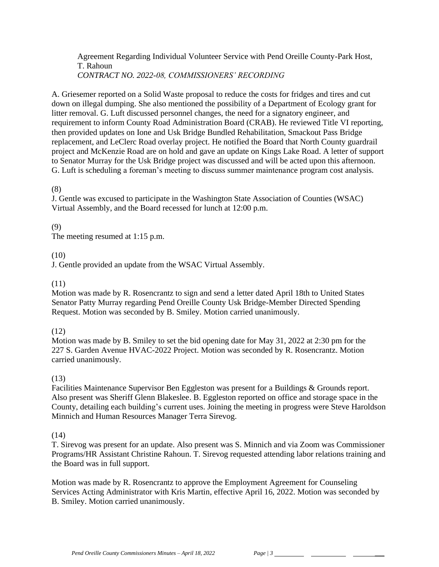Agreement Regarding Individual Volunteer Service with Pend Oreille County-Park Host, T. Rahoun *CONTRACT NO. 2022-08, COMMISSIONERS' RECORDING* 

A. Griesemer reported on a Solid Waste proposal to reduce the costs for fridges and tires and cut down on illegal dumping. She also mentioned the possibility of a Department of Ecology grant for litter removal. G. Luft discussed personnel changes, the need for a signatory engineer, and requirement to inform County Road Administration Board (CRAB). He reviewed Title VI reporting, then provided updates on Ione and Usk Bridge Bundled Rehabilitation, Smackout Pass Bridge replacement, and LeClerc Road overlay project. He notified the Board that North County guardrail project and McKenzie Road are on hold and gave an update on Kings Lake Road. A letter of support to Senator Murray for the Usk Bridge project was discussed and will be acted upon this afternoon. G. Luft is scheduling a foreman's meeting to discuss summer maintenance program cost analysis.

#### (8)

J. Gentle was excused to participate in the Washington State Association of Counties (WSAC) Virtual Assembly, and the Board recessed for lunch at 12:00 p.m.

### (9)

The meeting resumed at 1:15 p.m.

### (10)

J. Gentle provided an update from the WSAC Virtual Assembly.

## (11)

Motion was made by R. Rosencrantz to sign and send a letter dated April 18th to United States Senator Patty Murray regarding Pend Oreille County Usk Bridge-Member Directed Spending Request. Motion was seconded by B. Smiley. Motion carried unanimously.

#### (12)

Motion was made by B. Smiley to set the bid opening date for May 31, 2022 at 2:30 pm for the 227 S. Garden Avenue HVAC-2022 Project. Motion was seconded by R. Rosencrantz. Motion carried unanimously.

## (13)

Facilities Maintenance Supervisor Ben Eggleston was present for a Buildings & Grounds report. Also present was Sheriff Glenn Blakeslee. B. Eggleston reported on office and storage space in the County, detailing each building's current uses. Joining the meeting in progress were Steve Haroldson Minnich and Human Resources Manager Terra Sirevog.

#### (14)

T. Sirevog was present for an update. Also present was S. Minnich and via Zoom was Commissioner Programs/HR Assistant Christine Rahoun. T. Sirevog requested attending labor relations training and the Board was in full support.

Motion was made by R. Rosencrantz to approve the Employment Agreement for Counseling Services Acting Administrator with Kris Martin, effective April 16, 2022. Motion was seconded by B. Smiley. Motion carried unanimously.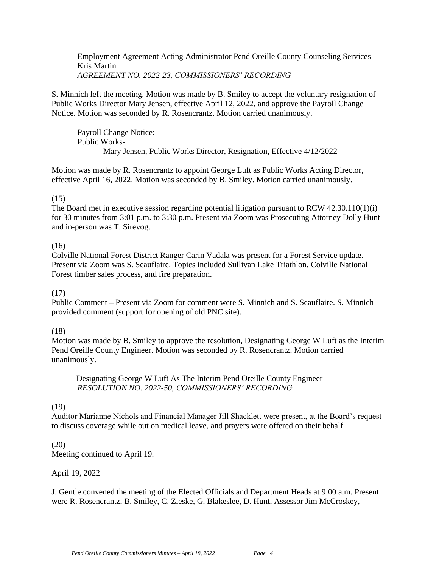Employment Agreement Acting Administrator Pend Oreille County Counseling Services-Kris Martin *AGREEMENT NO. 2022-23, COMMISSIONERS' RECORDING*

S. Minnich left the meeting. Motion was made by B. Smiley to accept the voluntary resignation of Public Works Director Mary Jensen, effective April 12, 2022, and approve the Payroll Change Notice. Motion was seconded by R. Rosencrantz. Motion carried unanimously.

Payroll Change Notice: Public Works-Mary Jensen, Public Works Director, Resignation, Effective 4/12/2022

Motion was made by R. Rosencrantz to appoint George Luft as Public Works Acting Director, effective April 16, 2022. Motion was seconded by B. Smiley. Motion carried unanimously.

### (15)

The Board met in executive session regarding potential litigation pursuant to RCW 42.30.110(1)(i) for 30 minutes from 3:01 p.m. to 3:30 p.m. Present via Zoom was Prosecuting Attorney Dolly Hunt and in-person was T. Sirevog.

## (16)

Colville National Forest District Ranger Carin Vadala was present for a Forest Service update. Present via Zoom was S. Scauflaire. Topics included Sullivan Lake Triathlon, Colville National Forest timber sales process, and fire preparation.

#### (17)

Public Comment – Present via Zoom for comment were S. Minnich and S. Scauflaire. S. Minnich provided comment (support for opening of old PNC site).

## (18)

Motion was made by B. Smiley to approve the resolution, Designating George W Luft as the Interim Pend Oreille County Engineer. Motion was seconded by R. Rosencrantz. Motion carried unanimously.

 Designating George W Luft As The Interim Pend Oreille County Engineer *RESOLUTION NO. 2022-50, COMMISSIONERS' RECORDING* 

#### (19)

Auditor Marianne Nichols and Financial Manager Jill Shacklett were present, at the Board's request to discuss coverage while out on medical leave, and prayers were offered on their behalf.

#### (20)

Meeting continued to April 19.

#### April 19, 2022

J. Gentle convened the meeting of the Elected Officials and Department Heads at 9:00 a.m. Present were R. Rosencrantz, B. Smiley, C. Zieske, G. Blakeslee, D. Hunt, Assessor Jim McCroskey,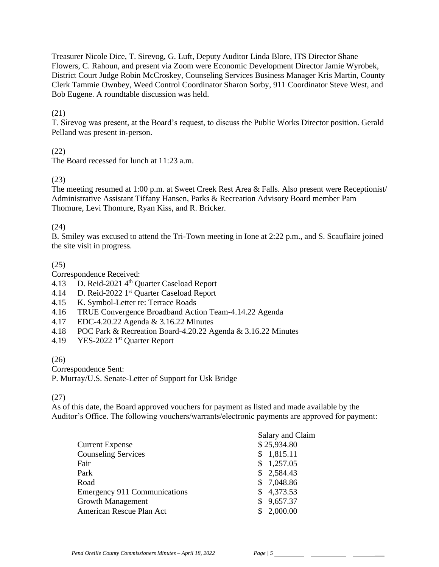Treasurer Nicole Dice, T. Sirevog, G. Luft, Deputy Auditor Linda Blore, ITS Director Shane Flowers, C. Rahoun, and present via Zoom were Economic Development Director Jamie Wyrobek, District Court Judge Robin McCroskey, Counseling Services Business Manager Kris Martin, County Clerk Tammie Ownbey, Weed Control Coordinator Sharon Sorby, 911 Coordinator Steve West, and Bob Eugene. A roundtable discussion was held.

## (21)

T. Sirevog was present, at the Board's request, to discuss the Public Works Director position. Gerald Pelland was present in-person.

## (22)

The Board recessed for lunch at 11:23 a.m.

## (23)

The meeting resumed at 1:00 p.m. at Sweet Creek Rest Area & Falls. Also present were Receptionist/ Administrative Assistant Tiffany Hansen, Parks & Recreation Advisory Board member Pam Thomure, Levi Thomure, Ryan Kiss, and R. Bricker.

## (24)

B. Smiley was excused to attend the Tri-Town meeting in Ione at 2:22 p.m., and S. Scauflaire joined the site visit in progress.

# (25)

Correspondence Received:

- 4.13 D. Reid-2021 4<sup>th</sup> Quarter Caseload Report
- 4.14 D. Reid-2022 1<sup>st</sup> Quarter Caseload Report
- 4.15 K. Symbol-Letter re: Terrace Roads
- 4.16 TRUE Convergence Broadband Action Team-4.14.22 Agenda
- 4.17 EDC-4.20.22 Agenda & 3.16.22 Minutes
- 4.18 POC Park & Recreation Board-4.20.22 Agenda & 3.16.22 Minutes
- 4.19 YES-2022 1<sup>st</sup> Quarter Report

## $(26)$

Correspondence Sent:

P. Murray/U.S. Senate-Letter of Support for Usk Bridge

# (27)

As of this date, the Board approved vouchers for payment as listed and made available by the Auditor's Office. The following vouchers/warrants/electronic payments are approved for payment:

|                                     | <b>Salary and Claim</b> |
|-------------------------------------|-------------------------|
| <b>Current Expense</b>              | \$25,934.80             |
| <b>Counseling Services</b>          | \$1,815.11              |
| Fair                                | \$1,257.05              |
| Park                                | \$2,584.43              |
| Road                                | \$7,048.86              |
| <b>Emergency 911 Communications</b> | \$4,373.53              |
| <b>Growth Management</b>            | \$9,657.37              |
| American Rescue Plan Act            | \$2,000.00              |
|                                     |                         |